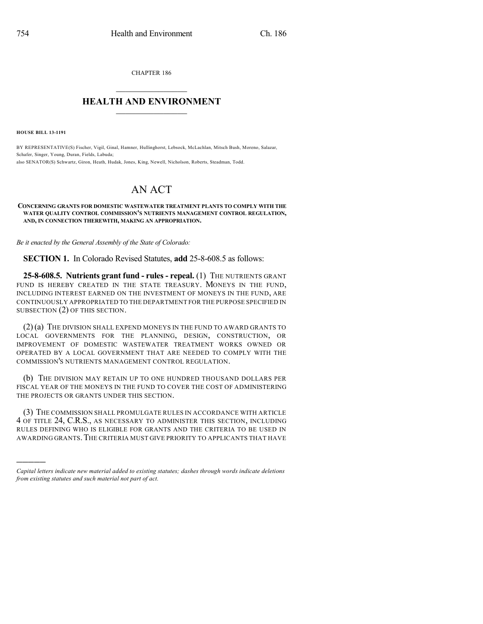CHAPTER 186

## $\mathcal{L}_\text{max}$  . The set of the set of the set of the set of the set of the set of the set of the set of the set of the set of the set of the set of the set of the set of the set of the set of the set of the set of the set **HEALTH AND ENVIRONMENT**  $\_$

**HOUSE BILL 13-1191**

)))))

BY REPRESENTATIVE(S) Fischer, Vigil, Ginal, Hamner, Hullinghorst, Lebsock, McLachlan, Mitsch Bush, Moreno, Salazar, Schafer, Singer, Young, Duran, Fields, Labuda; also SENATOR(S) Schwartz, Giron, Heath, Hudak, Jones, King, Newell, Nicholson, Roberts, Steadman, Todd.

## AN ACT

## **CONCERNING GRANTS FOR DOMESTIC WASTEWATER TREATMENT PLANTS TO COMPLY WITH THE WATER QUALITY CONTROL COMMISSION'S NUTRIENTS MANAGEMENT CONTROL REGULATION, AND, IN CONNECTION THEREWITH, MAKING AN APPROPRIATION.**

*Be it enacted by the General Assembly of the State of Colorado:*

**SECTION 1.** In Colorado Revised Statutes, **add** 25-8-608.5 as follows:

**25-8-608.5. Nutrients grant fund - rules - repeal.** (1) THE NUTRIENTS GRANT FUND IS HEREBY CREATED IN THE STATE TREASURY. MONEYS IN THE FUND, INCLUDING INTEREST EARNED ON THE INVESTMENT OF MONEYS IN THE FUND, ARE CONTINUOUSLY APPROPRIATED TO THE DEPARTMENT FOR THE PURPOSE SPECIFIED IN SUBSECTION (2) OF THIS SECTION.

 $(2)(a)$  The division shall expend moneys in the fund to award grants to LOCAL GOVERNMENTS FOR THE PLANNING, DESIGN, CONSTRUCTION, OR IMPROVEMENT OF DOMESTIC WASTEWATER TREATMENT WORKS OWNED OR OPERATED BY A LOCAL GOVERNMENT THAT ARE NEEDED TO COMPLY WITH THE COMMISSION'S NUTRIENTS MANAGEMENT CONTROL REGULATION.

(b) THE DIVISION MAY RETAIN UP TO ONE HUNDRED THOUSAND DOLLARS PER FISCAL YEAR OF THE MONEYS IN THE FUND TO COVER THE COST OF ADMINISTERING THE PROJECTS OR GRANTS UNDER THIS SECTION.

(3) THE COMMISSION SHALL PROMULGATE RULES IN ACCORDANCE WITH ARTICLE 4 OF TITLE 24, C.R.S., AS NECESSARY TO ADMINISTER THIS SECTION, INCLUDING RULES DEFINING WHO IS ELIGIBLE FOR GRANTS AND THE CRITERIA TO BE USED IN AWARDING GRANTS.THE CRITERIA MUST GIVE PRIORITY TO APPLICANTS THAT HAVE

*Capital letters indicate new material added to existing statutes; dashes through words indicate deletions from existing statutes and such material not part of act.*